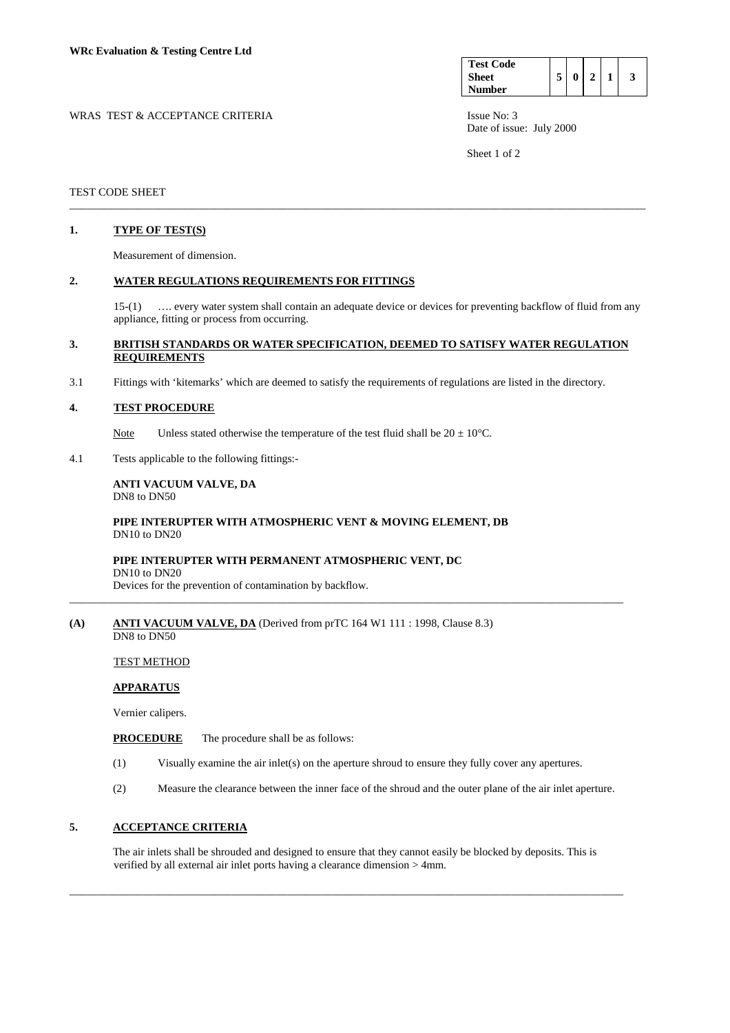| <b>Test Code</b> |   |  |  |
|------------------|---|--|--|
| <b>Sheet</b>     | 0 |  |  |
| <b>Number</b>    |   |  |  |

WRAS TEST & ACCEPTANCE CRITERIA ISSUE No: 3 Date of issue: July 2000

Sheet 1 of 2

#### TEST CODE SHEET

#### **1. TYPE OF TEST(S)**

Measurement of dimension.

## **2. WATER REGULATIONS REQUIREMENTS FOR FITTINGS**

15-(1) …. every water system shall contain an adequate device or devices for preventing backflow of fluid from any appliance, fitting or process from occurring.

## **3. BRITISH STANDARDS OR WATER SPECIFICATION, DEEMED TO SATISFY WATER REGULATION REQUIREMENTS**

\_\_\_\_\_\_\_\_\_\_\_\_\_\_\_\_\_\_\_\_\_\_\_\_\_\_\_\_\_\_\_\_\_\_\_\_\_\_\_\_\_\_\_\_\_\_\_\_\_\_\_\_\_\_\_\_\_\_\_\_\_\_\_\_\_\_\_\_\_\_\_\_\_\_\_\_\_\_\_\_\_\_\_\_\_\_\_\_\_\_\_\_\_\_\_\_\_\_\_\_\_\_\_

3.1 Fittings with 'kitemarks' which are deemed to satisfy the requirements of regulations are listed in the directory.

## **4. TEST PROCEDURE**

Note Unless stated otherwise the temperature of the test fluid shall be  $20 \pm 10^{\circ}$ C.

4.1 Tests applicable to the following fittings:-

#### **ANTI VACUUM VALVE, DA**  DN8 to DN50

## **PIPE INTERUPTER WITH ATMOSPHERIC VENT & MOVING ELEMENT, DB** DN10 to DN20

## **PIPE INTERUPTER WITH PERMANENT ATMOSPHERIC VENT, DC**

DN10 to DN20

Devices for the prevention of contamination by backflow.

# **(A) ANTI VACUUM VALVE, DA** (Derived from prTC 164 W1 111 : 1998, Clause 8.3)

DN8 to DN50

#### TEST METHOD

## **APPARATUS**

Vernier calipers.

**PROCEDURE** The procedure shall be as follows:

(1) Visually examine the air inlet(s) on the aperture shroud to ensure they fully cover any apertures.

\_\_\_\_\_\_\_\_\_\_\_\_\_\_\_\_\_\_\_\_\_\_\_\_\_\_\_\_\_\_\_\_\_\_\_\_\_\_\_\_\_\_\_\_\_\_\_\_\_\_\_\_\_\_\_\_\_\_\_\_\_\_\_\_\_\_\_\_\_\_\_\_\_\_\_\_\_\_\_\_\_\_\_\_\_\_\_\_\_\_\_\_\_\_\_\_\_\_\_

(2) Measure the clearance between the inner face of the shroud and the outer plane of the air inlet aperture.

## **5. ACCEPTANCE CRITERIA**

 The air inlets shall be shrouded and designed to ensure that they cannot easily be blocked by deposits. This is verified by all external air inlet ports having a clearance dimension > 4mm.

\_\_\_\_\_\_\_\_\_\_\_\_\_\_\_\_\_\_\_\_\_\_\_\_\_\_\_\_\_\_\_\_\_\_\_\_\_\_\_\_\_\_\_\_\_\_\_\_\_\_\_\_\_\_\_\_\_\_\_\_\_\_\_\_\_\_\_\_\_\_\_\_\_\_\_\_\_\_\_\_\_\_\_\_\_\_\_\_\_\_\_\_\_\_\_\_\_\_\_